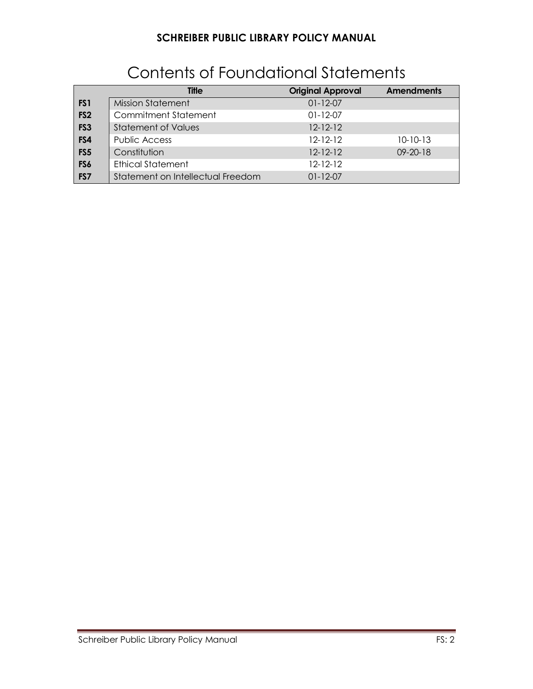|                 | <b>Title</b>                      | <b>Original Approval</b> | <b>Amendments</b> |
|-----------------|-----------------------------------|--------------------------|-------------------|
| FS <sub>1</sub> | <b>Mission Statement</b>          | $01 - 12 - 07$           |                   |
| FS <sub>2</sub> | Commitment Statement              | $01 - 12 - 07$           |                   |
| FS <sub>3</sub> | Statement of Values               | $12 - 12 - 12$           |                   |
| FS4             | Public Access                     | $12 - 12 - 12$           | $10 - 10 - 13$    |
| FS <sub>5</sub> | Constitution                      | $12 - 12 - 12$           | $09 - 20 - 18$    |
| FS6             | <b>Ethical Statement</b>          | $12 - 12 - 12$           |                   |
| FS7             | Statement on Intellectual Freedom | $01 - 12 - 07$           |                   |

# Contents of Foundational Statements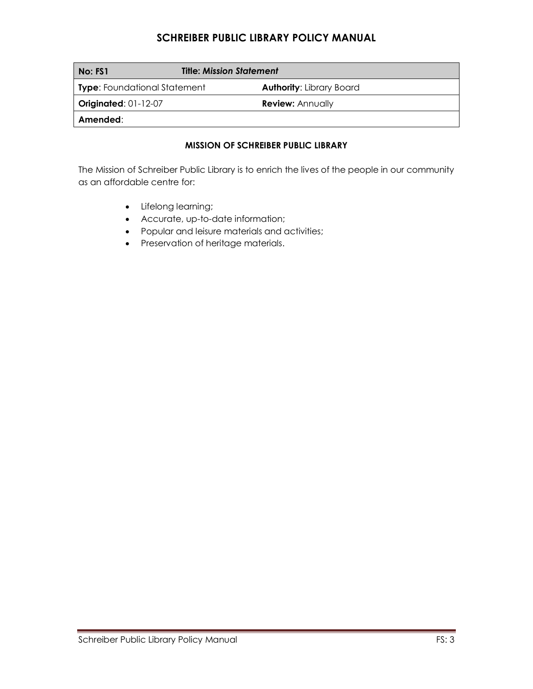| No: FS1                             | <b>Title: Mission Statement</b> |                                 |
|-------------------------------------|---------------------------------|---------------------------------|
| <b>Type:</b> Foundational Statement |                                 | <b>Authority: Library Board</b> |
| Originated: $01-12-07$              |                                 | <b>Review: Annually</b>         |
| Amended:                            |                                 |                                 |

#### **MISSION OF SCHREIBER PUBLIC LIBRARY**

The Mission of Schreiber Public Library is to enrich the lives of the people in our community as an affordable centre for:

- Lifelong learning;
- Accurate, up-to-date information;
- Popular and leisure materials and activities;
- Preservation of heritage materials.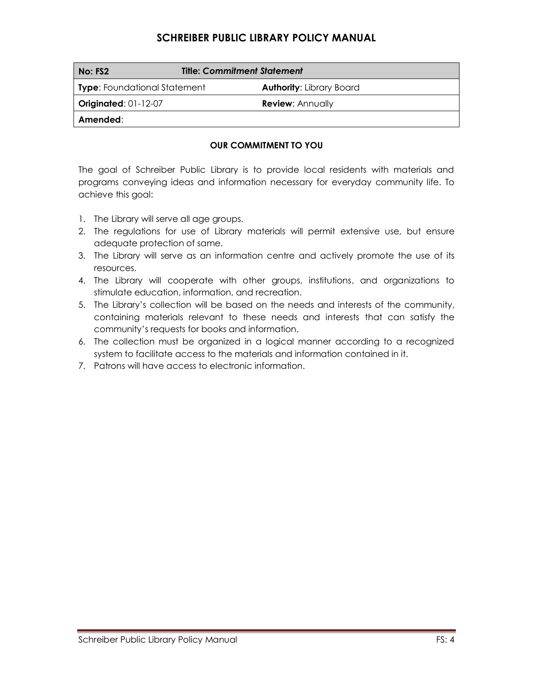| No: FS2                             | <b>Title: Commitment Statement</b> |                                 |
|-------------------------------------|------------------------------------|---------------------------------|
| <b>Type:</b> Foundational Statement |                                    | <b>Authority: Library Board</b> |
| <b>Originated: 01-12-07</b>         |                                    | <b>Review: Annually</b>         |
| Amended:                            |                                    |                                 |

#### **OUR COMMITMENT TO YOU**

The goal of Schreiber Public Library is to provide local residents with materials and programs conveying ideas and information necessary for everyday community life. To achieve this goal:

- 1. The Library will serve all age groups.
- 2. The regulations for use of Library materials will permit extensive use, but ensure adequate protection of same.
- 3. The Library will serve as an information centre and actively promote the use of its resources.
- 4. The Library will cooperate with other groups, institutions, and organizations to stimulate education, information, and recreation.
- 5. The Library's collection will be based on the needs and interests of the community, containing materials relevant to these needs and interests that can satisfy the community's requests for books and information.
- 6. The collection must be organized in a logical manner according to a recognized system to facilitate access to the materials and information contained in it.
- 7. Patrons will have access to electronic information.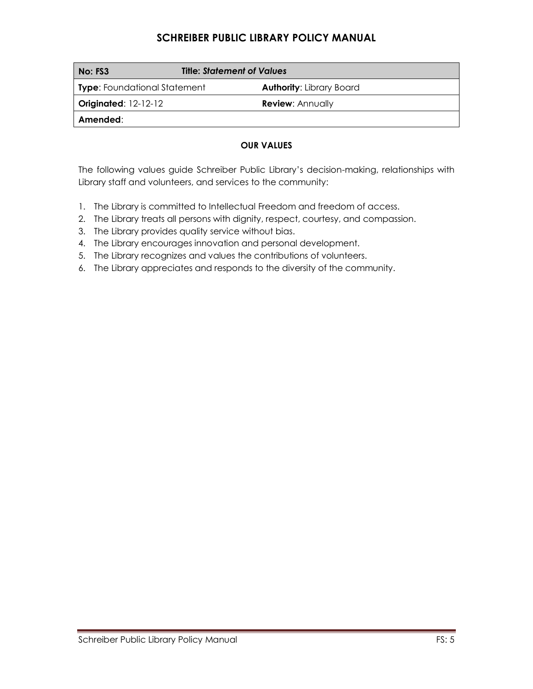| No: FS3                             | <b>Title: Statement of Values</b> |                                 |
|-------------------------------------|-----------------------------------|---------------------------------|
| <b>Type:</b> Foundational Statement |                                   | <b>Authority: Library Board</b> |
| <b>Originated: 12-12-12</b>         |                                   | <b>Review: Annually</b>         |
| Amended:                            |                                   |                                 |

#### **OUR VALUES**

The following values guide Schreiber Public Library's decision-making, relationships with Library staff and volunteers, and services to the community:

- 1. The Library is committed to Intellectual Freedom and freedom of access.
- 2. The Library treats all persons with dignity, respect, courtesy, and compassion.
- 3. The Library provides quality service without bias.
- 4. The Library encourages innovation and personal development.
- 5. The Library recognizes and values the contributions of volunteers.
- 6. The Library appreciates and responds to the diversity of the community.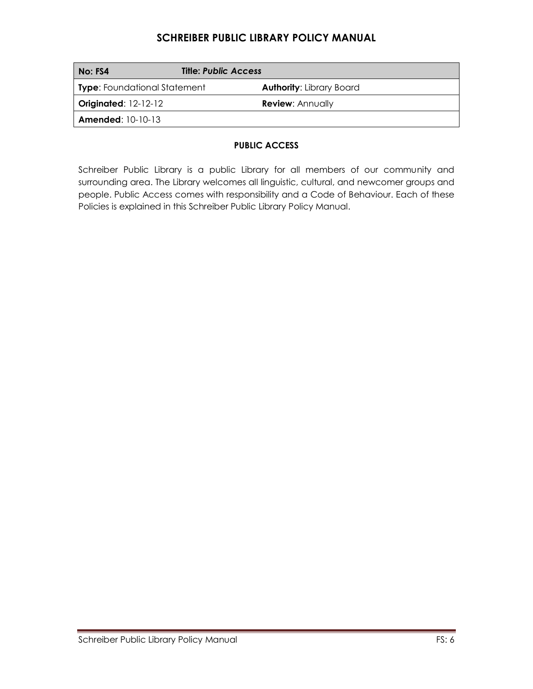| No: FS4                             | <b>Title: Public Access</b>     |
|-------------------------------------|---------------------------------|
| <b>Type:</b> Foundational Statement | <b>Authority: Library Board</b> |
| <b>Originated: 12-12-12</b>         | <b>Review: Annually</b>         |
| <b>Amended:</b> $10-10-13$          |                                 |

#### **PUBLIC ACCESS**

Schreiber Public Library is a public Library for all members of our community and surrounding area. The Library welcomes all linguistic, cultural, and newcomer groups and people. Public Access comes with responsibility and a Code of Behaviour. Each of these Policies is explained in this Schreiber Public Library Policy Manual.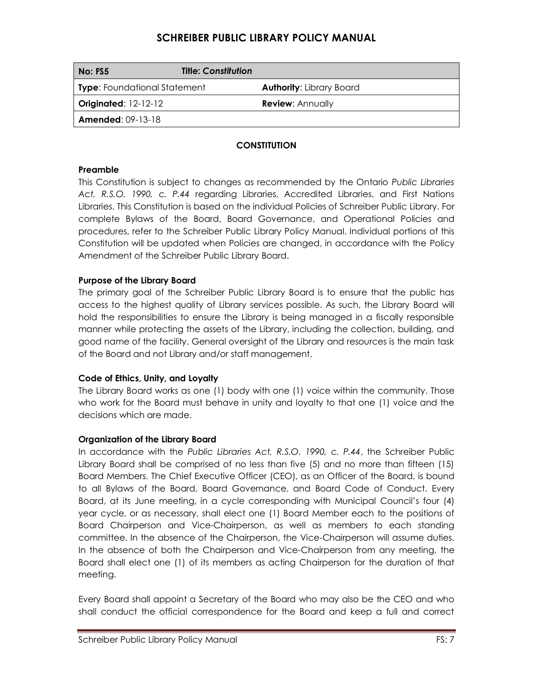| No: FS5                             | <b>Title: Constitution</b> |                                 |
|-------------------------------------|----------------------------|---------------------------------|
| <b>Type:</b> Foundational Statement |                            | <b>Authority: Library Board</b> |
| <b>Originated: 12-12-12</b>         |                            | <b>Review: Annually</b>         |
| <b>Amended: 09-13-18</b>            |                            |                                 |

### **CONSTITUTION**

#### **Preamble**

This Constitution is subject to changes as recommended by the Ontario *Public Libraries Act, R.S.O. 1990, c. P.44* regarding Libraries, Accredited Libraries, and First Nations Libraries. This Constitution is based on the individual Policies of Schreiber Public Library. For complete Bylaws of the Board, Board Governance, and Operational Policies and procedures, refer to the Schreiber Public Library Policy Manual. Individual portions of this Constitution will be updated when Policies are changed, in accordance with the Policy Amendment of the Schreiber Public Library Board.

#### **Purpose of the Library Board**

The primary goal of the Schreiber Public Library Board is to ensure that the public has access to the highest quality of Library services possible. As such, the Library Board will hold the responsibilities to ensure the Library is being managed in a fiscally responsible manner while protecting the assets of the Library, including the collection, building, and good name of the facility. General oversight of the Library and resources is the main task of the Board and not Library and/or staff management.

#### **Code of Ethics, Unity, and Loyalty**

The Library Board works as one (1) body with one (1) voice within the community. Those who work for the Board must behave in unity and loyalty to that one (1) voice and the decisions which are made.

#### **Organization of the Library Board**

In accordance with the *Public Libraries Act, R.S.O. 1990, c. P.44*, the Schreiber Public Library Board shall be comprised of no less than five (5) and no more than fifteen (15) Board Members. The Chief Executive Officer (CEO), as an Officer of the Board, is bound to all Bylaws of the Board, Board Governance, and Board Code of Conduct. Every Board, at its June meeting, in a cycle corresponding with Municipal Council's four (4) year cycle, or as necessary, shall elect one (1) Board Member each to the positions of Board Chairperson and Vice-Chairperson, as well as members to each standing committee. In the absence of the Chairperson, the Vice-Chairperson will assume duties. In the absence of both the Chairperson and Vice-Chairperson from any meeting, the Board shall elect one (1) of its members as acting Chairperson for the duration of that meeting.

Every Board shall appoint a Secretary of the Board who may also be the CEO and who shall conduct the official correspondence for the Board and keep a full and correct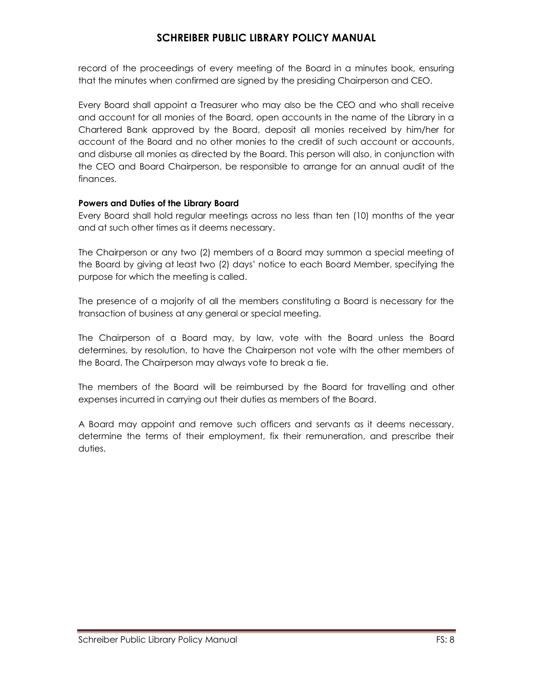record of the proceedings of every meeting of the Board in a minutes book, ensuring that the minutes when confirmed are signed by the presiding Chairperson and CEO.

Every Board shall appoint a Treasurer who may also be the CEO and who shall receive and account for all monies of the Board, open accounts in the name of the Library in a Chartered Bank approved by the Board, deposit all monies received by him/her for account of the Board and no other monies to the credit of such account or accounts, and disburse all monies as directed by the Board. This person will also, in conjunction with the CEO and Board Chairperson, be responsible to arrange for an annual audit of the finances.

#### **Powers and Duties of the Library Board**

Every Board shall hold regular meetings across no less than ten (10) months of the year and at such other times as it deems necessary.

The Chairperson or any two (2) members of a Board may summon a special meeting of the Board by giving at least two (2) days' notice to each Board Member, specifying the purpose for which the meeting is called.

The presence of a majority of all the members constituting a Board is necessary for the transaction of business at any general or special meeting.

The Chairperson of a Board may, by law, vote with the Board unless the Board determines, by resolution, to have the Chairperson not vote with the other members of the Board. The Chairperson may always vote to break a tie.

The members of the Board will be reimbursed by the Board for travelling and other expenses incurred in carrying out their duties as members of the Board.

A Board may appoint and remove such officers and servants as it deems necessary, determine the terms of their employment, fix their remuneration, and prescribe their duties.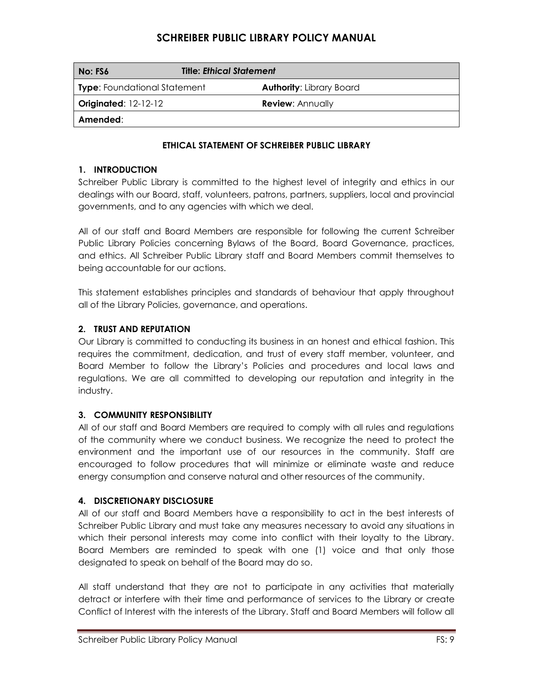| No: FS6                             | <b>Title: Ethical Statement</b> |  |
|-------------------------------------|---------------------------------|--|
| <b>Type:</b> Foundational Statement | <b>Authority: Library Board</b> |  |
| <b>Originated: 12-12-12</b>         | <b>Review: Annually</b>         |  |
| Amended:                            |                                 |  |

#### **ETHICAL STATEMENT OF SCHREIBER PUBLIC LIBRARY**

#### **1. INTRODUCTION**

Schreiber Public Library is committed to the highest level of integrity and ethics in our dealings with our Board, staff, volunteers, patrons, partners, suppliers, local and provincial governments, and to any agencies with which we deal.

All of our staff and Board Members are responsible for following the current Schreiber Public Library Policies concerning Bylaws of the Board, Board Governance, practices, and ethics. All Schreiber Public Library staff and Board Members commit themselves to being accountable for our actions.

This statement establishes principles and standards of behaviour that apply throughout all of the Library Policies, governance, and operations.

#### **2. TRUST AND REPUTATION**

Our Library is committed to conducting its business in an honest and ethical fashion. This requires the commitment, dedication, and trust of every staff member, volunteer, and Board Member to follow the Library's Policies and procedures and local laws and regulations. We are all committed to developing our reputation and integrity in the industry.

#### **3. COMMUNITY RESPONSIBILITY**

All of our staff and Board Members are required to comply with all rules and regulations of the community where we conduct business. We recognize the need to protect the environment and the important use of our resources in the community. Staff are encouraged to follow procedures that will minimize or eliminate waste and reduce energy consumption and conserve natural and other resources of the community.

#### **4. DISCRETIONARY DISCLOSURE**

All of our staff and Board Members have a responsibility to act in the best interests of Schreiber Public Library and must take any measures necessary to avoid any situations in which their personal interests may come into conflict with their loyalty to the Library. Board Members are reminded to speak with one (1) voice and that only those designated to speak on behalf of the Board may do so.

All staff understand that they are not to participate in any activities that materially detract or interfere with their time and performance of services to the Library or create Conflict of Interest with the interests of the Library. Staff and Board Members will follow all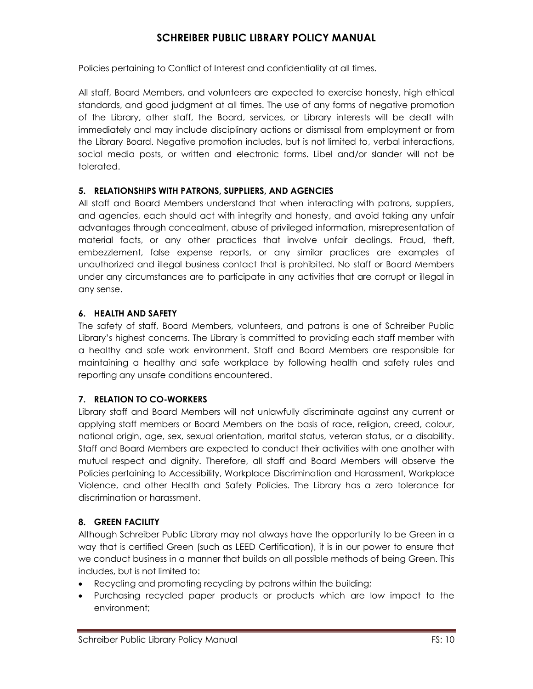Policies pertaining to Conflict of Interest and confidentiality at all times.

All staff, Board Members, and volunteers are expected to exercise honesty, high ethical standards, and good judgment at all times. The use of any forms of negative promotion of the Library, other staff, the Board, services, or Library interests will be dealt with immediately and may include disciplinary actions or dismissal from employment or from the Library Board. Negative promotion includes, but is not limited to, verbal interactions, social media posts, or written and electronic forms. Libel and/or slander will not be tolerated.

#### **5. RELATIONSHIPS WITH PATRONS, SUPPLIERS, AND AGENCIES**

All staff and Board Members understand that when interacting with patrons, suppliers, and agencies, each should act with integrity and honesty, and avoid taking any unfair advantages through concealment, abuse of privileged information, misrepresentation of material facts, or any other practices that involve unfair dealings. Fraud, theft, embezzlement, false expense reports, or any similar practices are examples of unauthorized and illegal business contact that is prohibited. No staff or Board Members under any circumstances are to participate in any activities that are corrupt or illegal in any sense.

#### **6. HEALTH AND SAFETY**

The safety of staff, Board Members, volunteers, and patrons is one of Schreiber Public Library's highest concerns. The Library is committed to providing each staff member with a healthy and safe work environment. Staff and Board Members are responsible for maintaining a healthy and safe workplace by following health and safety rules and reporting any unsafe conditions encountered.

#### **7. RELATION TO CO-WORKERS**

Library staff and Board Members will not unlawfully discriminate against any current or applying staff members or Board Members on the basis of race, religion, creed, colour, national origin, age, sex, sexual orientation, marital status, veteran status, or a disability. Staff and Board Members are expected to conduct their activities with one another with mutual respect and dignity. Therefore, all staff and Board Members will observe the Policies pertaining to Accessibility, Workplace Discrimination and Harassment, Workplace Violence, and other Health and Safety Policies. The Library has a zero tolerance for discrimination or harassment.

#### **8. GREEN FACILITY**

Although Schreiber Public Library may not always have the opportunity to be Green in a way that is certified Green (such as LEED Certification), it is in our power to ensure that we conduct business in a manner that builds on all possible methods of being Green. This includes, but is not limited to:

- Recycling and promoting recycling by patrons within the building;
- Purchasing recycled paper products or products which are low impact to the environment;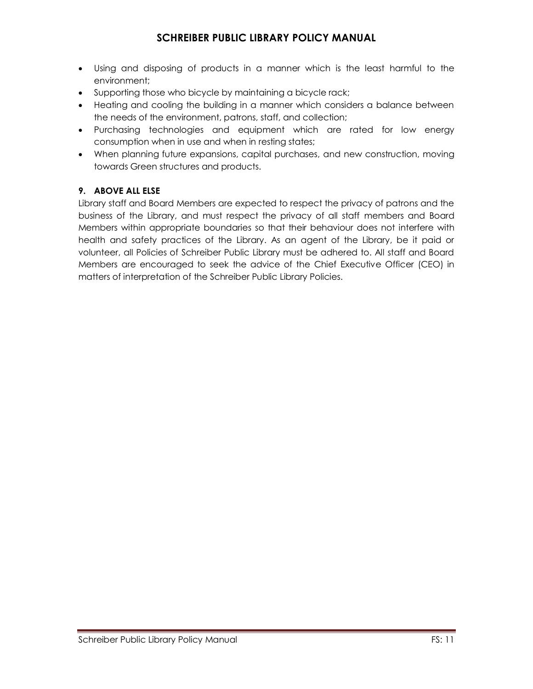- Using and disposing of products in a manner which is the least harmful to the environment;
- Supporting those who bicycle by maintaining a bicycle rack;
- Heating and cooling the building in a manner which considers a balance between the needs of the environment, patrons, staff, and collection;
- Purchasing technologies and equipment which are rated for low energy consumption when in use and when in resting states;
- When planning future expansions, capital purchases, and new construction, moving towards Green structures and products.

#### **9. ABOVE ALL ELSE**

Library staff and Board Members are expected to respect the privacy of patrons and the business of the Library, and must respect the privacy of all staff members and Board Members within appropriate boundaries so that their behaviour does not interfere with health and safety practices of the Library. As an agent of the Library, be it paid or volunteer, all Policies of Schreiber Public Library must be adhered to. All staff and Board Members are encouraged to seek the advice of the Chief Executive Officer (CEO) in matters of interpretation of the Schreiber Public Library Policies.